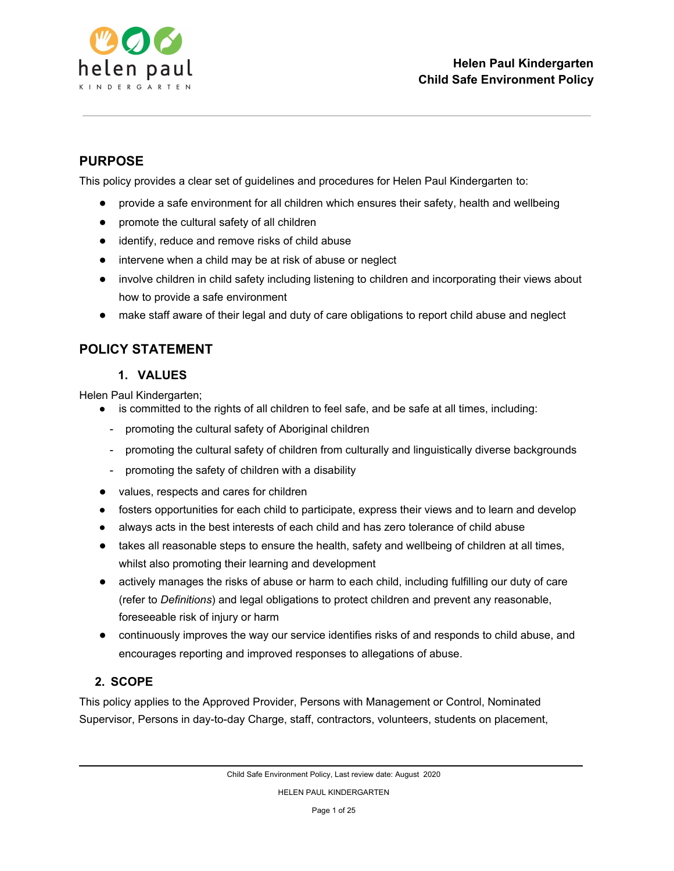

## **PURPOSE**

This policy provides a clear set of guidelines and procedures for Helen Paul Kindergarten to:

- provide a safe environment for all children which ensures their safety, health and wellbeing
- promote the cultural safety of all children
- identify, reduce and remove risks of child abuse
- intervene when a child may be at risk of abuse or neglect
- involve children in child safety including listening to children and incorporating their views about how to provide a safe environment
- make staff aware of their legal and duty of care obligations to report child abuse and neglect

## **POLICY STATEMENT**

### **1. VALUES**

Helen Paul Kindergarten;

- is committed to the rights of all children to feel safe, and be safe at all times, including:
	- promoting the cultural safety of Aboriginal children
	- promoting the cultural safety of children from culturally and linguistically diverse backgrounds
	- promoting the safety of children with a disability
- values, respects and cares for children
- fosters opportunities for each child to participate, express their views and to learn and develop
- always acts in the best interests of each child and has zero tolerance of child abuse
- takes all reasonable steps to ensure the health, safety and wellbeing of children at all times, whilst also promoting their learning and development
- actively manages the risks of abuse or harm to each child, including fulfilling our duty of care (refer to *Definitions*) and legal obligations to protect children and prevent any reasonable, foreseeable risk of injury or harm
- continuously improves the way our service identifies risks of and responds to child abuse, and encourages reporting and improved responses to allegations of abuse.

### **2. SCOPE**

This policy applies to the Approved Provider, Persons with Management or Control, Nominated Supervisor, Persons in day-to-day Charge, staff, contractors, volunteers, students on placement,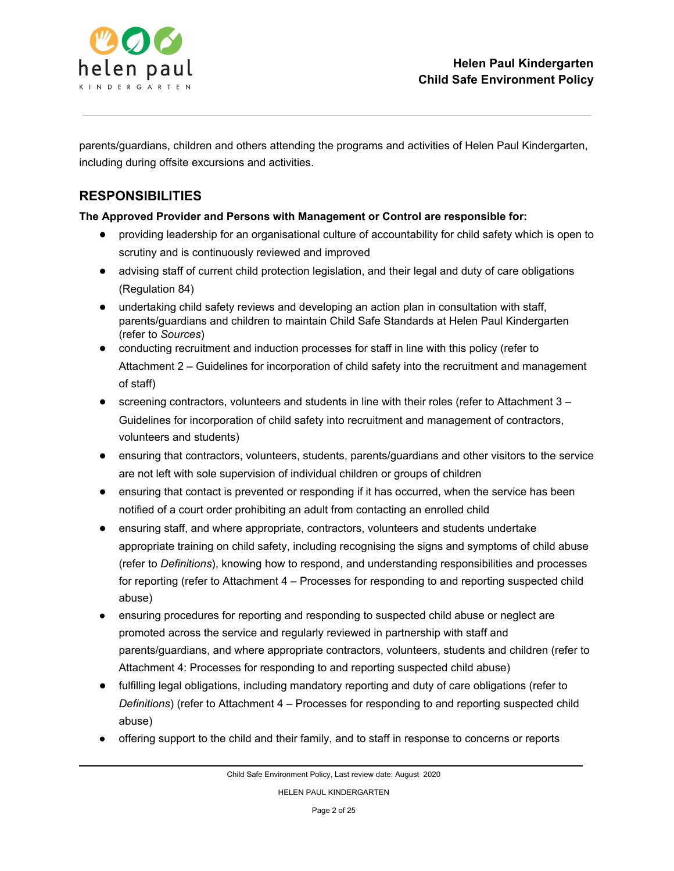

parents/guardians, children and others attending the programs and activities of Helen Paul Kindergarten, including during offsite excursions and activities.

## **RESPONSIBILITIES**

### **The Approved Provider and Persons with Management or Control are responsible for:**

- providing leadership for an organisational culture of accountability for child safety which is open to scrutiny and is continuously reviewed and improved
- advising staff of current child protection legislation, and their legal and duty of care obligations (Regulation 84)
- undertaking child safety reviews and developing an action plan in consultation with staff, parents/guardians and children to maintain Child Safe Standards at Helen Paul Kindergarten (refer to *Sources*)
- conducting recruitment and induction processes for staff in line with this policy (refer to Attachment 2 – Guidelines for incorporation of child safety into the recruitment and management of staff)
- screening contractors, volunteers and students in line with their roles (refer to Attachment 3 Guidelines for incorporation of child safety into recruitment and management of contractors, volunteers and students)
- ensuring that contractors, volunteers, students, parents/guardians and other visitors to the service are not left with sole supervision of individual children or groups of children
- ensuring that contact is prevented or responding if it has occurred, when the service has been notified of a court order prohibiting an adult from contacting an enrolled child
- ensuring staff, and where appropriate, contractors, volunteers and students undertake appropriate training on child safety, including recognising the signs and symptoms of child abuse (refer to *Definitions*), knowing how to respond, and understanding responsibilities and processes for reporting (refer to Attachment 4 – Processes for responding to and reporting suspected child abuse)
- ensuring procedures for reporting and responding to suspected child abuse or neglect are promoted across the service and regularly reviewed in partnership with staff and parents/guardians, and where appropriate contractors, volunteers, students and children (refer to Attachment 4: Processes for responding to and reporting suspected child abuse)
- fulfilling legal obligations, including mandatory reporting and duty of care obligations (refer to *Definitions*) (refer to Attachment 4 – Processes for responding to and reporting suspected child abuse)
- offering support to the child and their family, and to staff in response to concerns or reports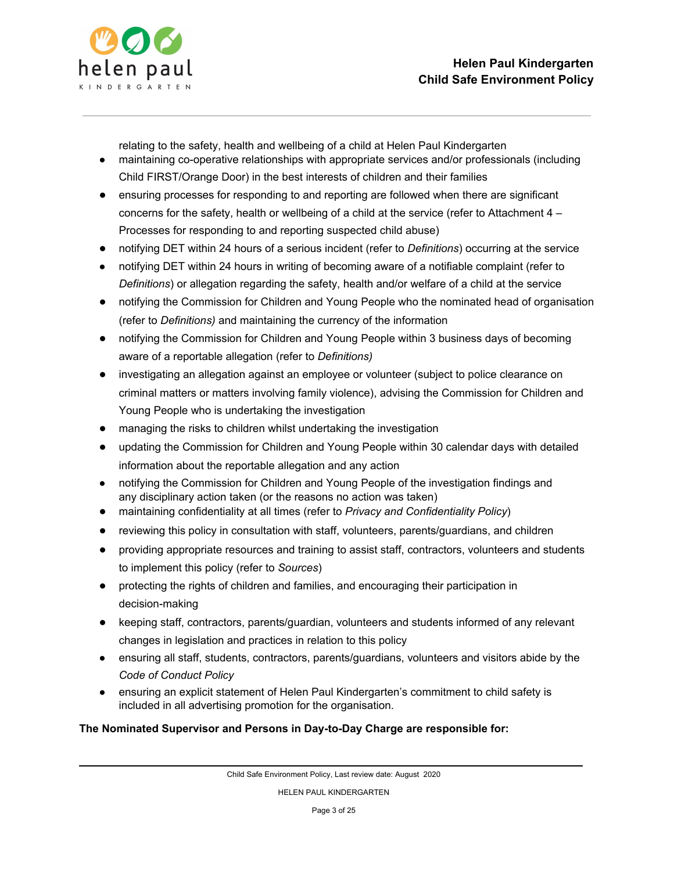

relating to the safety, health and wellbeing of a child at Helen Paul Kindergarten

- maintaining co-operative relationships with appropriate services and/or professionals (including Child FIRST/Orange Door) in the best interests of children and their families
- ensuring processes for responding to and reporting are followed when there are significant concerns for the safety, health or wellbeing of a child at the service (refer to Attachment 4 – Processes for responding to and reporting suspected child abuse)
- notifying DET within 24 hours of a serious incident (refer to *Definitions*) occurring at the service
- notifying DET within 24 hours in writing of becoming aware of a notifiable complaint (refer to *Definitions*) or allegation regarding the safety, health and/or welfare of a child at the service
- notifying the Commission for Children and Young People who the nominated head of organisation (refer to *Definitions)* and maintaining the currency of the information
- notifying the Commission for Children and Young People within 3 business days of becoming aware of a reportable allegation (refer to *Definitions)*
- investigating an allegation against an employee or volunteer (subject to police clearance on criminal matters or matters involving family violence), advising the Commission for Children and Young People who is undertaking the investigation
- managing the risks to children whilst undertaking the investigation
- updating the Commission for Children and Young People within 30 calendar days with detailed information about the reportable allegation and any action
- notifying the Commission for Children and Young People of the investigation findings and any disciplinary action taken (or the reasons no action was taken)
- maintaining confidentiality at all times (refer to *Privacy and Confidentiality Policy*)
- reviewing this policy in consultation with staff, volunteers, parents/guardians, and children
- providing appropriate resources and training to assist staff, contractors, volunteers and students to implement this policy (refer to *Sources*)
- protecting the rights of children and families, and encouraging their participation in decision-making
- keeping staff, contractors, parents/guardian, volunteers and students informed of any relevant changes in legislation and practices in relation to this policy
- ensuring all staff, students, contractors, parents/guardians, volunteers and visitors abide by the *Code of Conduct Policy*
- ensuring an explicit statement of Helen Paul Kindergarten's commitment to child safety is included in all advertising promotion for the organisation.

### **The Nominated Supervisor and Persons in Day-to-Day Charge are responsible for:**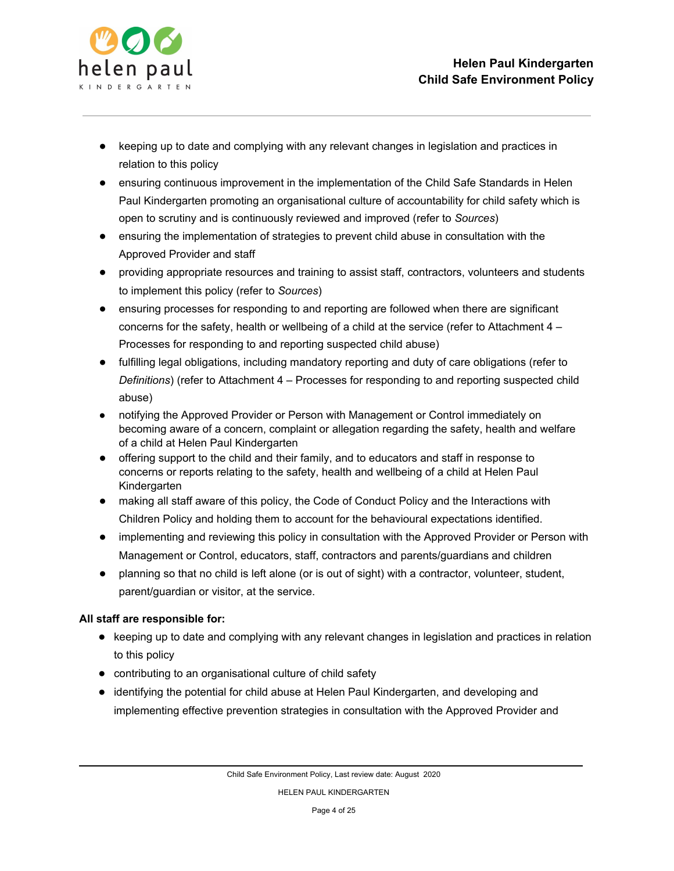

- keeping up to date and complying with any relevant changes in legislation and practices in relation to this policy
- ensuring continuous improvement in the implementation of the Child Safe Standards in Helen Paul Kindergarten promoting an organisational culture of accountability for child safety which is open to scrutiny and is continuously reviewed and improved (refer to *Sources*)
- ensuring the implementation of strategies to prevent child abuse in consultation with the Approved Provider and staff
- providing appropriate resources and training to assist staff, contractors, volunteers and students to implement this policy (refer to *Sources*)
- ensuring processes for responding to and reporting are followed when there are significant concerns for the safety, health or wellbeing of a child at the service (refer to Attachment 4 – Processes for responding to and reporting suspected child abuse)
- fulfilling legal obligations, including mandatory reporting and duty of care obligations (refer to *Definitions*) (refer to Attachment 4 – Processes for responding to and reporting suspected child abuse)
- notifying the Approved Provider or Person with Management or Control immediately on becoming aware of a concern, complaint or allegation regarding the safety, health and welfare of a child at Helen Paul Kindergarten
- offering support to the child and their family, and to educators and staff in response to concerns or reports relating to the safety, health and wellbeing of a child at Helen Paul Kindergarten
- making all staff aware of this policy, the Code of Conduct Policy and the Interactions with Children Policy and holding them to account for the behavioural expectations identified.
- implementing and reviewing this policy in consultation with the Approved Provider or Person with Management or Control, educators, staff, contractors and parents/guardians and children
- planning so that no child is left alone (or is out of sight) with a contractor, volunteer, student, parent/guardian or visitor, at the service.

### **All staff are responsible for:**

- keeping up to date and complying with any relevant changes in legislation and practices in relation to this policy
- contributing to an organisational culture of child safety
- identifying the potential for child abuse at Helen Paul Kindergarten, and developing and implementing effective prevention strategies in consultation with the Approved Provider and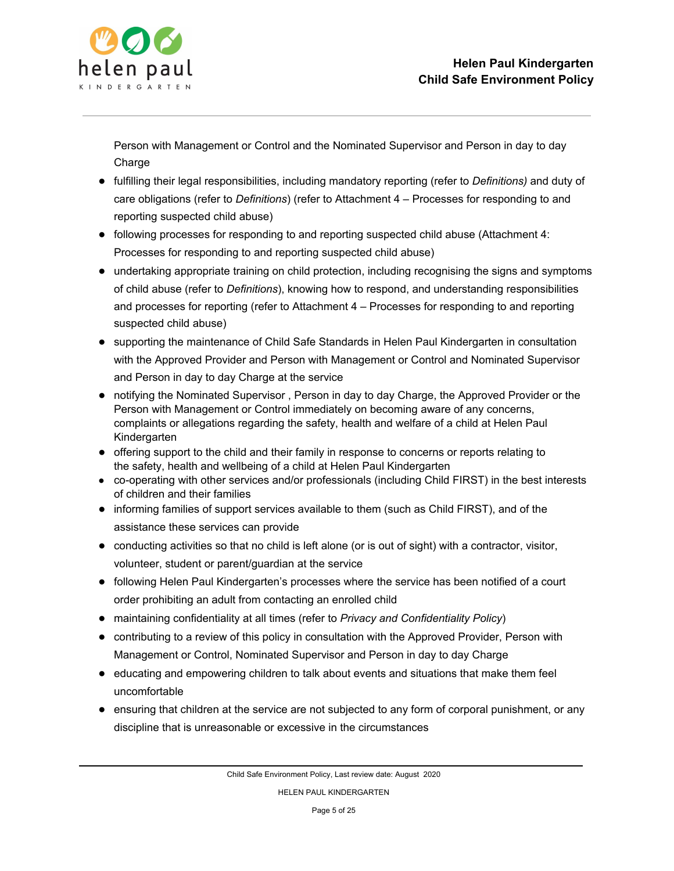

Person with Management or Control and the Nominated Supervisor and Person in day to day **Charge** 

- fulfilling their legal responsibilities, including mandatory reporting (refer to *Definitions)* and duty of care obligations (refer to *Definitions*) (refer to Attachment 4 – Processes for responding to and reporting suspected child abuse)
- following processes for responding to and reporting suspected child abuse (Attachment 4: Processes for responding to and reporting suspected child abuse)
- undertaking appropriate training on child protection, including recognising the signs and symptoms of child abuse (refer to *Definitions*), knowing how to respond, and understanding responsibilities and processes for reporting (refer to Attachment 4 – Processes for responding to and reporting suspected child abuse)
- supporting the maintenance of Child Safe Standards in Helen Paul Kindergarten in consultation with the Approved Provider and Person with Management or Control and Nominated Supervisor and Person in day to day Charge at the service
- notifying the Nominated Supervisor, Person in day to day Charge, the Approved Provider or the Person with Management or Control immediately on becoming aware of any concerns, complaints or allegations regarding the safety, health and welfare of a child at Helen Paul Kindergarten
- offering support to the child and their family in response to concerns or reports relating to the safety, health and wellbeing of a child at Helen Paul Kindergarten
- co-operating with other services and/or professionals (including Child FIRST) in the best interests of children and their families
- informing families of support services available to them (such as Child FIRST), and of the assistance these services can provide
- conducting activities so that no child is left alone (or is out of sight) with a contractor, visitor, volunteer, student or parent/guardian at the service
- following Helen Paul Kindergarten's processes where the service has been notified of a court order prohibiting an adult from contacting an enrolled child
- maintaining confidentiality at all times (refer to *Privacy and Confidentiality Policy*)
- contributing to a review of this policy in consultation with the Approved Provider, Person with Management or Control, Nominated Supervisor and Person in day to day Charge
- educating and empowering children to talk about events and situations that make them feel uncomfortable
- ensuring that children at the service are not subjected to any form of corporal punishment, or any discipline that is unreasonable or excessive in the circumstances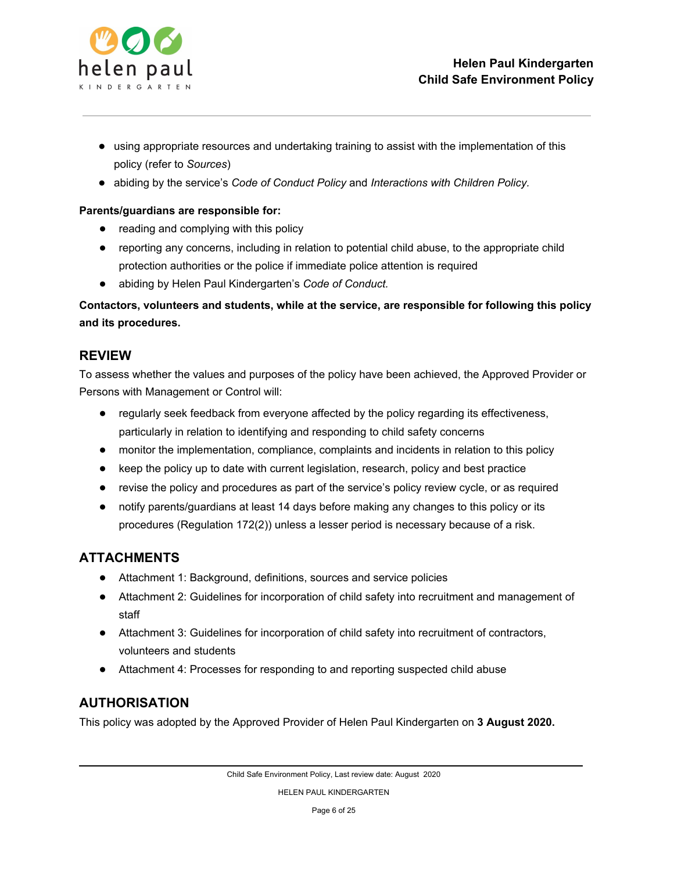

- using appropriate resources and undertaking training to assist with the implementation of this policy (refer to *Sources*)
- abiding by the service's *Code of Conduct Policy* and *Interactions with Children Policy.*

#### **Parents/guardians are responsible for:**

- reading and complying with this policy
- reporting any concerns, including in relation to potential child abuse, to the appropriate child protection authorities or the police if immediate police attention is required
- abiding by Helen Paul Kindergarten's *Code of Conduct.*

**Contactors, volunteers and students, while at the service, are responsible for following this policy and its procedures.**

### **REVIEW**

To assess whether the values and purposes of the policy have been achieved, the Approved Provider or Persons with Management or Control will:

- regularly seek feedback from everyone affected by the policy regarding its effectiveness, particularly in relation to identifying and responding to child safety concerns
- monitor the implementation, compliance, complaints and incidents in relation to this policy
- keep the policy up to date with current legislation, research, policy and best practice
- revise the policy and procedures as part of the service's policy review cycle, or as required
- notify parents/guardians at least 14 days before making any changes to this policy or its procedures (Regulation 172(2)) unless a lesser period is necessary because of a risk.

## **ATTACHMENTS**

- Attachment 1: Background, definitions, sources and service policies
- Attachment 2: Guidelines for incorporation of child safety into recruitment and management of staff
- Attachment 3: Guidelines for incorporation of child safety into recruitment of contractors, volunteers and students
- Attachment 4: Processes for responding to and reporting suspected child abuse

## **AUTHORISATION**

This policy was adopted by the Approved Provider of Helen Paul Kindergarten on **3 August 2020.**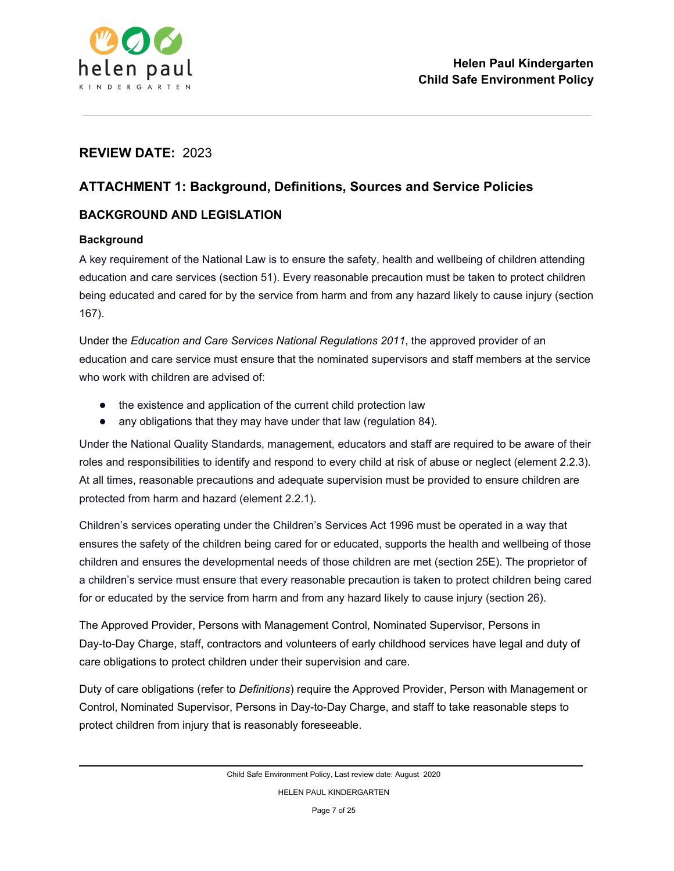

## **REVIEW DATE:** 2023

## **ATTACHMENT 1: Background, Definitions, Sources and Service Policies**

### **BACKGROUND AND LEGISLATION**

### **Background**

A key requirement of the National Law is to ensure the safety, health and wellbeing of children attending education and care services (section 51). Every reasonable precaution must be taken to protect children being educated and cared for by the service from harm and from any hazard likely to cause injury (section 167).

Under the *Education and Care Services National Regulations 2011*, the approved provider of an education and care service must ensure that the nominated supervisors and staff members at the service who work with children are advised of:

- the existence and application of the current child protection law
- any obligations that they may have under that law (regulation 84).

Under the National Quality Standards, management, educators and staff are required to be aware of their roles and responsibilities to identify and respond to every child at risk of abuse or neglect (element 2.2.3). At all times, reasonable precautions and adequate supervision must be provided to ensure children are protected from harm and hazard (element 2.2.1).

Children's services operating under the Children's Services Act 1996 must be operated in a way that ensures the safety of the children being cared for or educated, supports the health and wellbeing of those children and ensures the developmental needs of those children are met (section 25E). The proprietor of a children's service must ensure that every reasonable precaution is taken to protect children being cared for or educated by the service from harm and from any hazard likely to cause injury (section 26).

The Approved Provider, Persons with Management Control, Nominated Supervisor, Persons in Day-to-Day Charge, staff, contractors and volunteers of early childhood services have legal and duty of care obligations to protect children under their supervision and care.

Duty of care obligations (refer to *Definitions*) require the Approved Provider, Person with Management or Control, Nominated Supervisor, Persons in Day-to-Day Charge, and staff to take reasonable steps to protect children from injury that is reasonably foreseeable.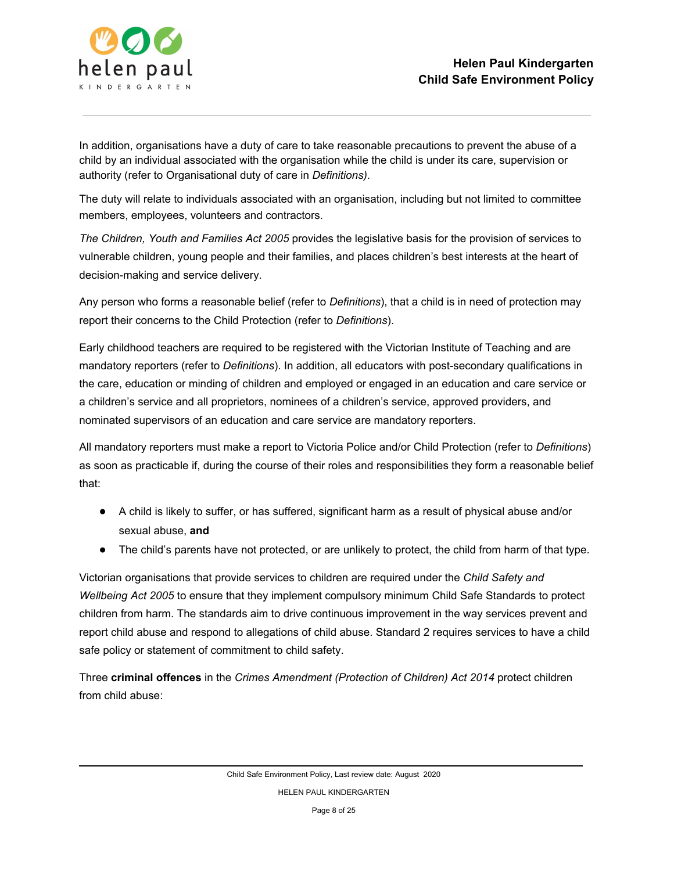

In addition, organisations have a duty of care to take reasonable precautions to prevent the abuse of a child by an individual associated with the organisation while the child is under its care, supervision or authority (refer to Organisational duty of care in *Definitions)*.

The duty will relate to individuals associated with an organisation, including but not limited to committee members, employees, volunteers and contractors.

*The Children, Youth and Families Act 2005* provides the legislative basis for the provision of services to vulnerable children, young people and their families, and places children's best interests at the heart of decision-making and service delivery.

Any person who forms a reasonable belief (refer to *Definitions*), that a child is in need of protection may report their concerns to the Child Protection (refer to *Definitions*).

Early childhood teachers are required to be registered with the Victorian Institute of Teaching and are mandatory reporters (refer to *Definitions*). In addition, all educators with post-secondary qualifications in the care, education or minding of children and employed or engaged in an education and care service or a children's service and all proprietors, nominees of a children's service, approved providers, and nominated supervisors of an education and care service are mandatory reporters.

All mandatory reporters must make a report to Victoria Police and/or Child Protection (refer to *Definitions*) as soon as practicable if, during the course of their roles and responsibilities they form a reasonable belief that:

- A child is likely to suffer, or has suffered, significant harm as a result of physical abuse and/or sexual abuse, **and**
- The child's parents have not protected, or are unlikely to protect, the child from harm of that type.

Victorian organisations that provide services to children are required under the *Child Safety and Wellbeing Act 2005* to ensure that they implement compulsory minimum Child Safe Standards to protect children from harm. The standards aim to drive continuous improvement in the way services prevent and report child abuse and respond to allegations of child abuse. Standard 2 requires services to have a child safe policy or statement of commitment to child safety.

Three **criminal offences** in the *Crimes Amendment (Protection of Children) Act 2014* protect children from child abuse: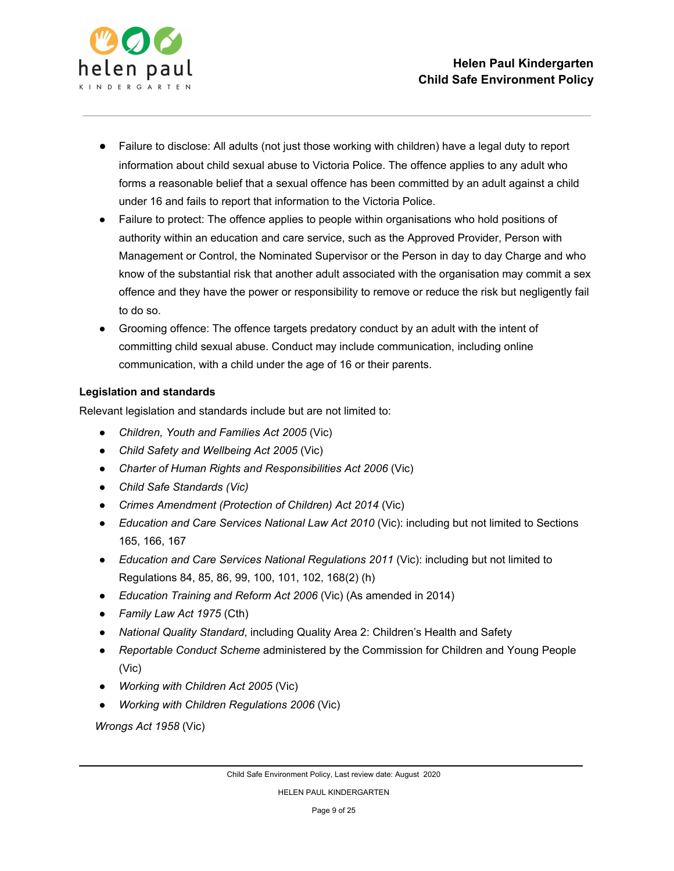

- Failure to disclose: All adults (not just those working with children) have a legal duty to report information about child sexual abuse to Victoria Police. The offence applies to any adult who forms a reasonable belief that a sexual offence has been committed by an adult against a child under 16 and fails to report that information to the Victoria Police.
- Failure to protect: The offence applies to people within organisations who hold positions of authority within an education and care service, such as the Approved Provider, Person with Management or Control, the Nominated Supervisor or the Person in day to day Charge and who know of the substantial risk that another adult associated with the organisation may commit a sex offence and they have the power or responsibility to remove or reduce the risk but negligently fail to do so.
- Grooming offence: The offence targets predatory conduct by an adult with the intent of committing child sexual abuse. Conduct may include communication, including online communication, with a child under the age of 16 or their parents.

### **Legislation and standards**

Relevant legislation and standards include but are not limited to:

- *Children, Youth and Families Act 2005* (Vic)
- *Child Safety and Wellbeing Act 2005* (Vic)
- *Charter of Human Rights and Responsibilities Act 2006* (Vic)
- *● Child Safe Standards (Vic)*
- *Crimes Amendment (Protection of Children) Act 2014* (Vic)
- *Education and Care Services National Law Act 2010* (Vic): including but not limited to Sections 165, 166, 167
- *Education and Care Services National Regulations 2011* (Vic): including but not limited to Regulations 84, 85, 86, 99, 100, 101, 102, 168(2) (h)
- *Education Training and Reform Act 2006* (Vic) (As amended in 2014)
- *Family Law Act 1975* (Cth)
- *National Quality Standard*, including Quality Area 2: Children's Health and Safety
- *Reportable Conduct Scheme* administered by the Commission for Children and Young People (Vic)
- *Working with Children Act 2005* (Vic)
- *Working with Children Regulations 2006* (Vic)

*Wrongs Act 1958* (Vic)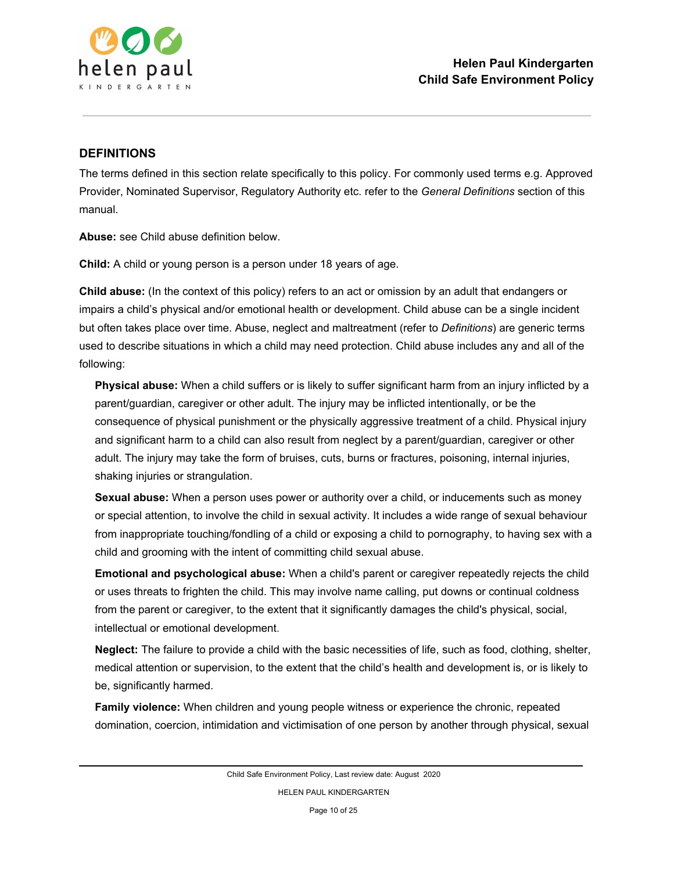

### **DEFINITIONS**

The terms defined in this section relate specifically to this policy. For commonly used terms e.g. Approved Provider, Nominated Supervisor, Regulatory Authority etc. refer to the *General Definitions* section of this manual.

**Abuse:** see Child abuse definition below.

**Child:** A child or young person is a person under 18 years of age.

**Child abuse:** (In the context of this policy) refers to an act or omission by an adult that endangers or impairs a child's physical and/or emotional health or development. Child abuse can be a single incident but often takes place over time. Abuse, neglect and maltreatment (refer to *Definitions*) are generic terms used to describe situations in which a child may need protection. Child abuse includes any and all of the following:

**Physical abuse:** When a child suffers or is likely to suffer significant harm from an injury inflicted by a parent/guardian, caregiver or other adult. The injury may be inflicted intentionally, or be the consequence of physical punishment or the physically aggressive treatment of a child. Physical injury and significant harm to a child can also result from neglect by a parent/guardian, caregiver or other adult. The injury may take the form of bruises, cuts, burns or fractures, poisoning, internal injuries, shaking injuries or strangulation.

**Sexual abuse:** When a person uses power or authority over a child, or inducements such as money or special attention, to involve the child in sexual activity. It includes a wide range of sexual behaviour from inappropriate touching/fondling of a child or exposing a child to pornography, to having sex with a child and grooming with the intent of committing child sexual abuse.

**Emotional and psychological abuse:** When a child's parent or caregiver repeatedly rejects the child or uses threats to frighten the child. This may involve name calling, put downs or continual coldness from the parent or caregiver, to the extent that it significantly damages the child's physical, social, intellectual or emotional development.

**Neglect:** The failure to provide a child with the basic necessities of life, such as food, clothing, shelter, medical attention or supervision, to the extent that the child's health and development is, or is likely to be, significantly harmed.

**Family violence:** When children and young people witness or experience the chronic, repeated domination, coercion, intimidation and victimisation of one person by another through physical, sexual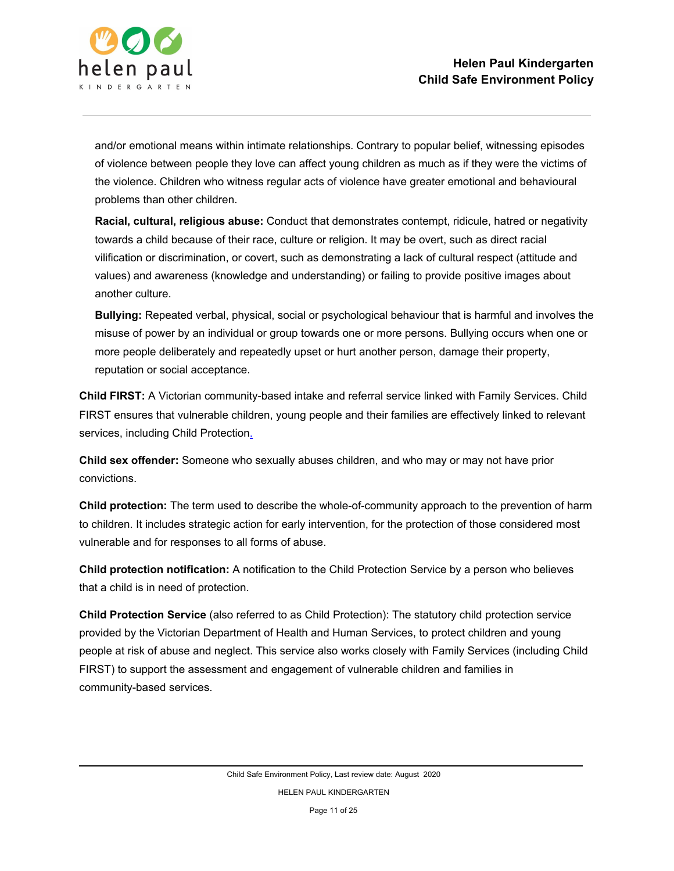

and/or emotional means within intimate relationships. Contrary to popular belief, witnessing episodes of violence between people they love can affect young children as much as if they were the victims of the violence. Children who witness regular acts of violence have greater emotional and behavioural problems than other children.

**Racial, cultural, religious abuse:** Conduct that demonstrates contempt, ridicule, hatred or negativity towards a child because of their race, culture or religion. It may be overt, such as direct racial vilification or discrimination, or covert, such as demonstrating a lack of cultural respect (attitude and values) and awareness (knowledge and understanding) or failing to provide positive images about another culture.

**Bullying:** Repeated verbal, physical, social or psychological behaviour that is harmful and involves the misuse of power by an individual or group towards one or more persons. Bullying occurs when one or more people deliberately and repeatedly upset or hurt another person, damage their property, reputation or social acceptance.

**Child FIRST:** A Victorian community-based intake and referral service linked with Family Services. Child FIRST ensures that vulnerable children, young people and their families are effectively linked to relevant services, including Child Protection.

**Child sex offender:** Someone who sexually abuses children, and who may or may not have prior convictions.

**Child protection:** The term used to describe the whole-of-community approach to the prevention of harm to children. It includes strategic action for early intervention, for the protection of those considered most vulnerable and for responses to all forms of abuse.

**Child protection notification:** A notification to the Child Protection Service by a person who believes that a child is in need of protection.

**Child Protection Service** (also referred to as Child Protection): The statutory child protection service provided by the Victorian Department of Health and Human Services, to protect children and young people at risk of abuse and neglect. This service also works closely with Family Services (including Child FIRST) to support the assessment and engagement of vulnerable children and families in community-based services.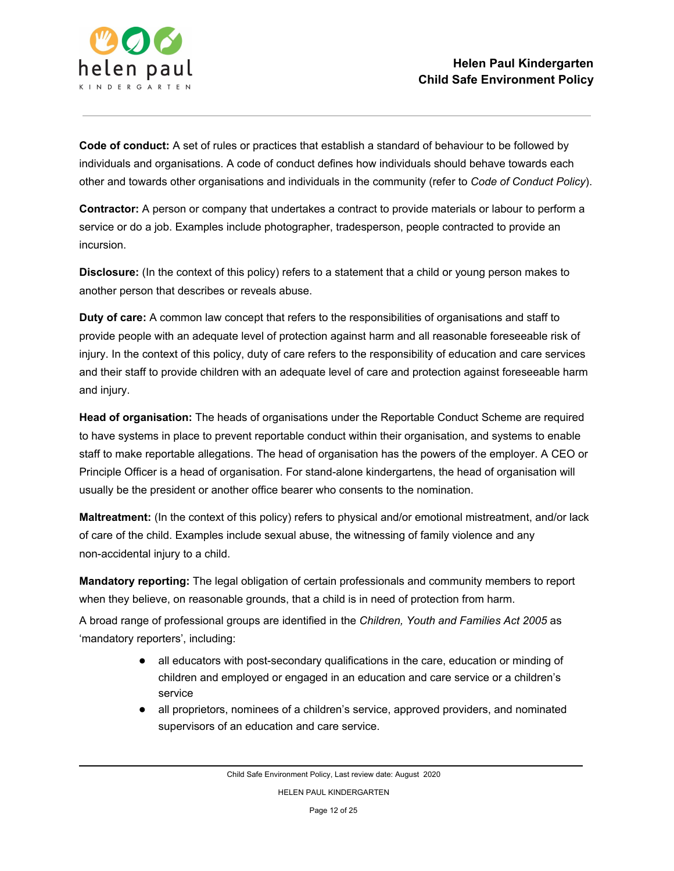

**Code of conduct:** A set of rules or practices that establish a standard of behaviour to be followed by individuals and organisations. A code of conduct defines how individuals should behave towards each other and towards other organisations and individuals in the community (refer to *Code of Conduct Policy*).

**Contractor:** A person or company that undertakes a contract to provide materials or labour to perform a service or do a job. Examples include photographer, tradesperson, people contracted to provide an incursion.

**Disclosure:** (In the context of this policy) refers to a statement that a child or young person makes to another person that describes or reveals abuse.

**Duty of care:** A common law concept that refers to the responsibilities of organisations and staff to provide people with an adequate level of protection against harm and all reasonable foreseeable risk of injury. In the context of this policy, duty of care refers to the responsibility of education and care services and their staff to provide children with an adequate level of care and protection against foreseeable harm and injury.

**Head of organisation:** The heads of organisations under the Reportable Conduct Scheme are required to have systems in place to prevent reportable conduct within their organisation, and systems to enable staff to make reportable allegations. The head of organisation has the powers of the employer. A CEO or Principle Officer is a head of organisation. For stand-alone kindergartens, the head of organisation will usually be the president or another office bearer who consents to the nomination.

**Maltreatment:** (In the context of this policy) refers to physical and/or emotional mistreatment, and/or lack of care of the child. Examples include sexual abuse, the witnessing of family violence and any non-accidental injury to a child.

**Mandatory reporting:** The legal obligation of certain professionals and community members to report when they believe, on reasonable grounds, that a child is in need of protection from harm.

A broad range of professional groups are identified in the *Children, Youth and Families Act 2005* as 'mandatory reporters', including:

- all educators with post-secondary qualifications in the care, education or minding of children and employed or engaged in an education and care service or a children's service
- all proprietors, nominees of a children's service, approved providers, and nominated supervisors of an education and care service.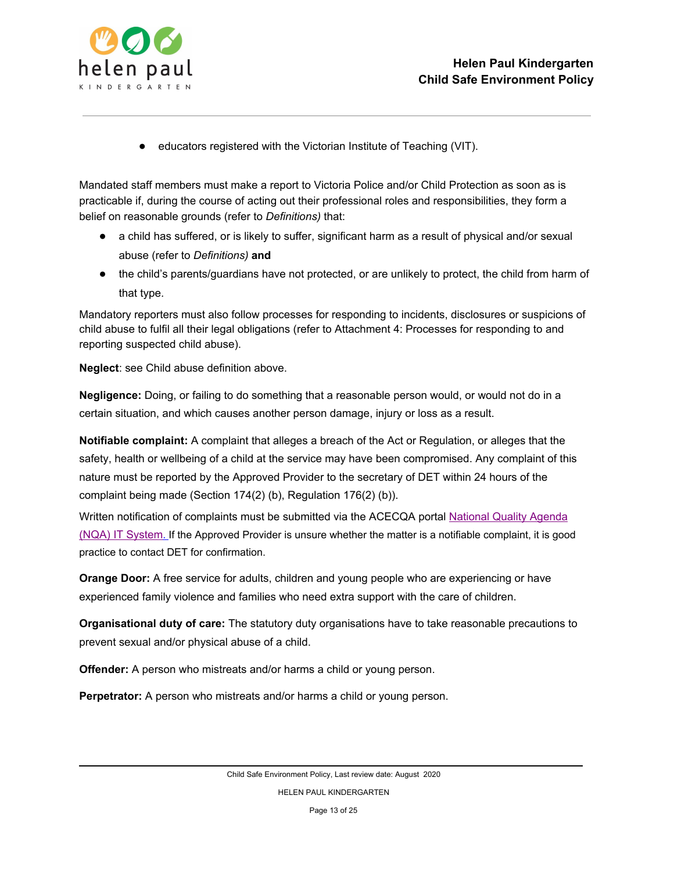

● educators registered with the Victorian Institute of Teaching (VIT).

Mandated staff members must make a report to Victoria Police and/or Child Protection as soon as is practicable if, during the course of acting out their professional roles and responsibilities, they form a belief on reasonable grounds (refer to *Definitions)* that:

- a child has suffered, or is likely to suffer, significant harm as a result of physical and/or sexual abuse (refer to *Definitions)* **and**
- the child's parents/guardians have not protected, or are unlikely to protect, the child from harm of that type.

Mandatory reporters must also follow processes for responding to incidents, disclosures or suspicions of child abuse to fulfil all their legal obligations (refer to Attachment 4: Processes for responding to and reporting suspected child abuse).

**Neglect**: see Child abuse definition above.

**Negligence:** Doing, or failing to do something that a reasonable person would, or would not do in a certain situation, and which causes another person damage, injury or loss as a result.

**Notifiable complaint:** A complaint that alleges a breach of the Act or Regulation, or alleges that the safety, health or wellbeing of a child at the service may have been compromised. Any complaint of this nature must be reported by the Approved Provider to the secretary of DET within 24 hours of the complaint being made (Section 174(2) (b), Regulation 176(2) (b)).

Written notification of complaints must be submitted via the ACECQA porta[l](https://public.nqaits.acecqa.gov.au/Pages/Landing.aspx) [National](https://public.nqaits.acecqa.gov.au/Pages/Landing.aspx) Quality Agenda (NQA) IT [System](https://public.nqaits.acecqa.gov.au/Pages/Landing.aspx). If the Approved Provider is unsure whether the matter is a notifiable complaint, it is good practice to contact DET for confirmation.

**Orange Door:** A free service for adults, children and young people who are experiencing or have experienced family violence and families who need extra support with the care of children.

**Organisational duty of care:** The statutory duty organisations have to take reasonable precautions to prevent sexual and/or physical abuse of a child.

**Offender:** A person who mistreats and/or harms a child or young person.

**Perpetrator:** A person who mistreats and/or harms a child or young person.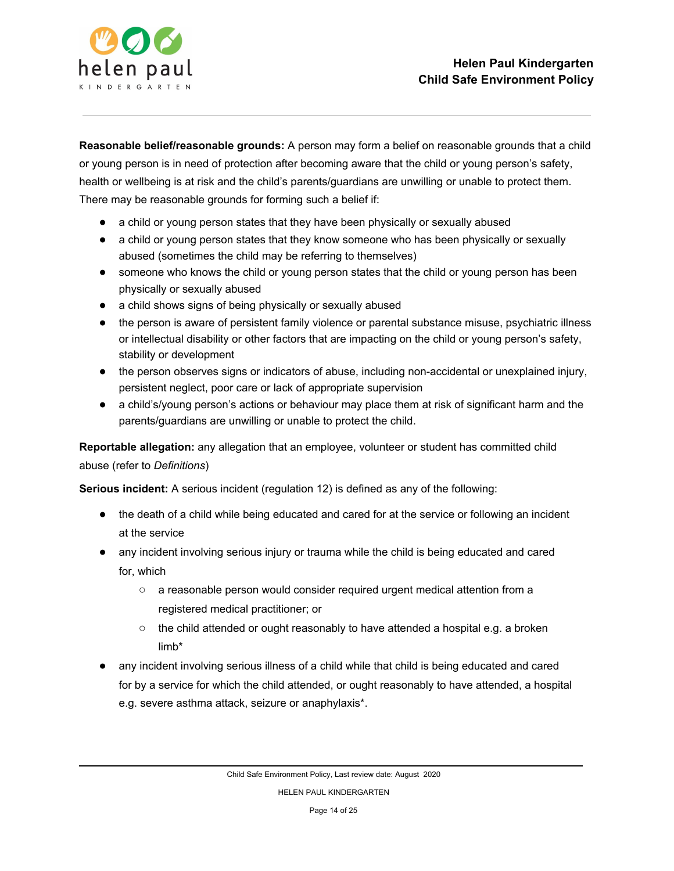

**Reasonable belief/reasonable grounds:** A person may form a belief on reasonable grounds that a child or young person is in need of protection after becoming aware that the child or young person's safety, health or wellbeing is at risk and the child's parents/guardians are unwilling or unable to protect them. There may be reasonable grounds for forming such a belief if:

- a child or young person states that they have been physically or sexually abused
- a child or young person states that they know someone who has been physically or sexually abused (sometimes the child may be referring to themselves)
- someone who knows the child or young person states that the child or young person has been physically or sexually abused
- a child shows signs of being physically or sexually abused
- the person is aware of persistent family violence or parental substance misuse, psychiatric illness or intellectual disability or other factors that are impacting on the child or young person's safety, stability or development
- the person observes signs or indicators of abuse, including non-accidental or unexplained injury, persistent neglect, poor care or lack of appropriate supervision
- a child's/young person's actions or behaviour may place them at risk of significant harm and the parents/guardians are unwilling or unable to protect the child.

**Reportable allegation:** any allegation that an employee, volunteer or student has committed child abuse (refer to *Definitions*)

**Serious incident:** A serious incident (regulation 12) is defined as any of the following:

- the death of a child while being educated and cared for at the service or following an incident at the service
- any incident involving serious injury or trauma while the child is being educated and cared for, which
	- a reasonable person would consider required urgent medical attention from a registered medical practitioner; or
	- the child attended or ought reasonably to have attended a hospital e.g. a broken limb\*
- any incident involving serious illness of a child while that child is being educated and cared for by a service for which the child attended, or ought reasonably to have attended, a hospital e.g. severe asthma attack, seizure or anaphylaxis\*.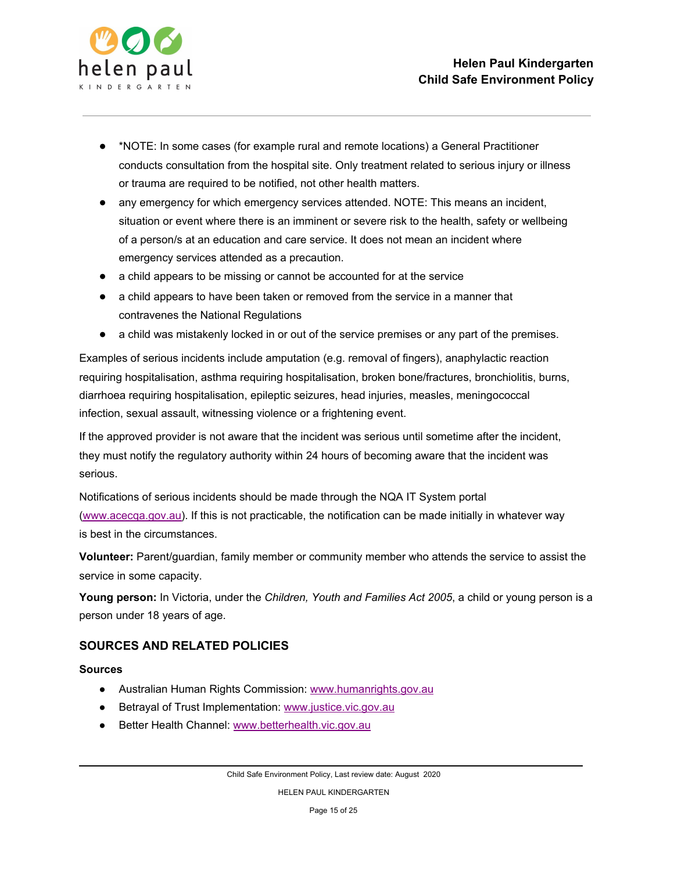

- \*NOTE: In some cases (for example rural and remote locations) a General Practitioner conducts consultation from the hospital site. Only treatment related to serious injury or illness or trauma are required to be notified, not other health matters.
- any emergency for which emergency services attended. NOTE: This means an incident, situation or event where there is an imminent or severe risk to the health, safety or wellbeing of a person/s at an education and care service. It does not mean an incident where emergency services attended as a precaution.
- a child appears to be missing or cannot be accounted for at the service
- a child appears to have been taken or removed from the service in a manner that contravenes the National Regulations
- a child was mistakenly locked in or out of the service premises or any part of the premises.

Examples of serious incidents include amputation (e.g. removal of fingers), anaphylactic reaction requiring hospitalisation, asthma requiring hospitalisation, broken bone/fractures, bronchiolitis, burns, diarrhoea requiring hospitalisation, epileptic seizures, head injuries, measles, meningococcal infection, sexual assault, witnessing violence or a frightening event.

If the approved provider is not aware that the incident was serious until sometime after the incident, they must notify the regulatory authority within 24 hours of becoming aware that the incident was serious.

Notifications of serious incidents should be made through the NQA IT System portal [\(www.acecqa.gov.au\)](http://www.acecqa.gov.au/). If this is not practicable, the notification can be made initially in whatever way is best in the circumstances.

**Volunteer:** Parent/guardian, family member or community member who attends the service to assist the service in some capacity.

**Young person:** In Victoria, under the *Children, Youth and Families Act 2005*, a child or young person is a person under 18 years of age.

### **SOURCES AND RELATED POLICIES**

#### **Sources**

- Australian Human Rights Commission: [www.humanrights.gov.au](https://www.humanrights.gov.au/)
- Betrayal of Trust Implementation[:](http://www.justice.vic.gov.au/) [www.justice.vic.gov.au](http://www.justice.vic.gov.au/)
- Better Health Channel[:](http://www.betterhealth.vic.gov.au/) [www.betterhealth.vic.gov.au](http://www.betterhealth.vic.gov.au/)

HELEN PAUL KINDERGARTEN

Page 15 of 25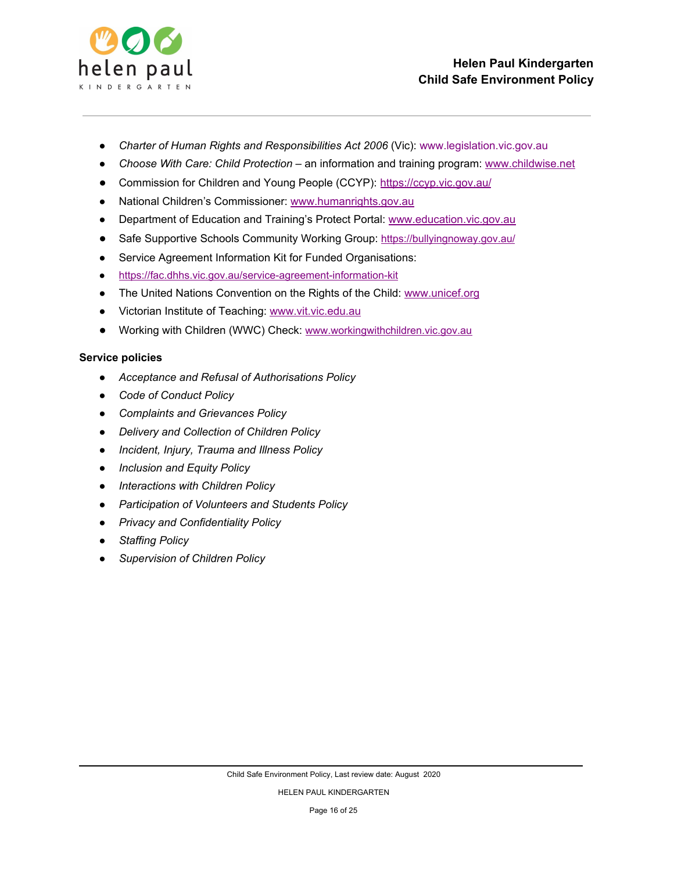

- *Charter of Human Rights and Responsibilities Act 2006* (Vic): www.legislation.vic.gov.au
- *Choose With Care: Child Protection* an information and training program: [www.childwise.net](http://www.childwise.net/)
- Commission for Children and Young People (CCYP): <https://ccyp.vic.gov.au/>
- National Children's Commissioner[:](http://www.humanrights.gov.au/) [www.humanrights.gov.au](http://www.humanrights.gov.au/)
- Department of Education and Training's Protect Portal[:](http://www.education.vic.gov.au/Pages/default.aspx) [www.education.vic.gov.au](http://www.education.vic.gov.au/Pages/default.aspx)
- Safe Supportive Schools Community Working Group: <https://bullyingnoway.gov.au/>
- Service Agreement Information Kit for Funded Organisations:
- <https://fac.dhhs.vic.gov.au/service-agreement-information-kit>
- The United Nations Convention on the Rights of the Child[:](https://www.unicef.org/) [www.unicef.org](https://www.unicef.org/)
- Victorian Institute of Teaching[:](http://www.vit.vic.edu.au/) [www.vit.vic.edu.au](http://www.vit.vic.edu.au/)
- Working with Children (WWC) Check[:](https://www.workingwithchildren.vic.gov.au/) [www.workingwithchildren.vic.gov.au](https://www.workingwithchildren.vic.gov.au/)

### **Service policies**

- *● Acceptance and Refusal of Authorisations Policy*
- *● Code of Conduct Policy*
- *● Complaints and Grievances Policy*
- *● Delivery and Collection of Children Policy*
- *● Incident, Injury, Trauma and Illness Policy*
- *● Inclusion and Equity Policy*
- *● Interactions with Children Policy*
- *● Participation of Volunteers and Students Policy*
- *● Privacy and Confidentiality Policy*
- *● Staffing Policy*
- *● Supervision of Children Policy*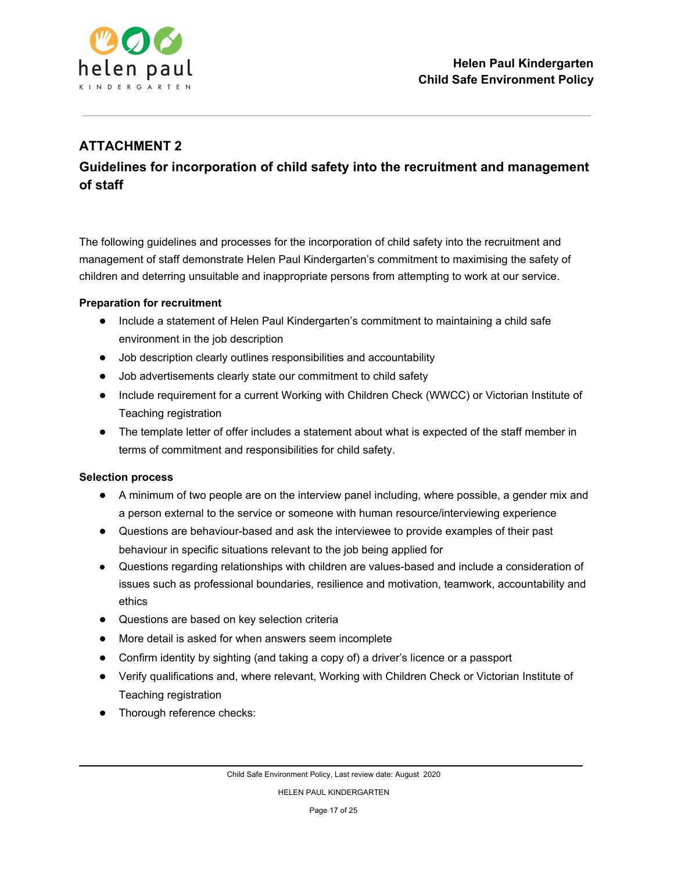

## **ATTACHMENT 2**

# **Guidelines for incorporation of child safety into the recruitment and management of staff**

The following guidelines and processes for the incorporation of child safety into the recruitment and management of staff demonstrate Helen Paul Kindergarten's commitment to maximising the safety of children and deterring unsuitable and inappropriate persons from attempting to work at our service.

### **Preparation for recruitment**

- Include a statement of Helen Paul Kindergarten's commitment to maintaining a child safe environment in the job description
- Job description clearly outlines responsibilities and accountability
- Job advertisements clearly state our commitment to child safety
- Include requirement for a current Working with Children Check (WWCC) or Victorian Institute of Teaching registration
- The template letter of offer includes a statement about what is expected of the staff member in terms of commitment and responsibilities for child safety.

#### **Selection process**

- A minimum of two people are on the interview panel including, where possible, a gender mix and a person external to the service or someone with human resource/interviewing experience
- Questions are behaviour-based and ask the interviewee to provide examples of their past behaviour in specific situations relevant to the job being applied for
- Questions regarding relationships with children are values-based and include a consideration of issues such as professional boundaries, resilience and motivation, teamwork, accountability and ethics
- Questions are based on key selection criteria
- More detail is asked for when answers seem incomplete
- Confirm identity by sighting (and taking a copy of) a driver's licence or a passport
- Verify qualifications and, where relevant, Working with Children Check or Victorian Institute of Teaching registration
- Thorough reference checks: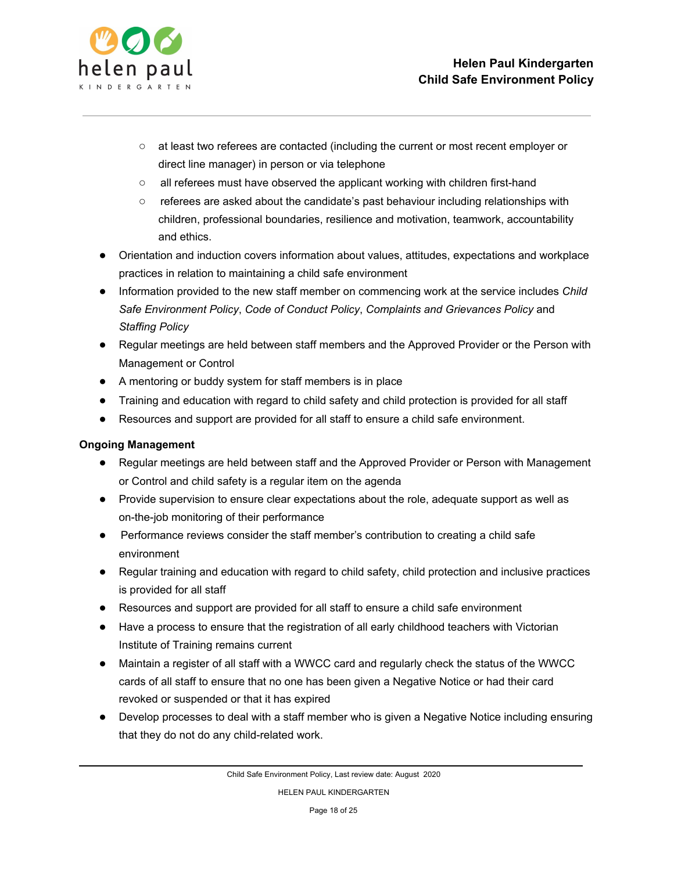

- at least two referees are contacted (including the current or most recent employer or direct line manager) in person or via telephone
- all referees must have observed the applicant working with children first-hand
- referees are asked about the candidate's past behaviour including relationships with children, professional boundaries, resilience and motivation, teamwork, accountability and ethics.
- Orientation and induction covers information about values, attitudes, expectations and workplace practices in relation to maintaining a child safe environment
- Information provided to the new staff member on commencing work at the service includes *Child Safe Environment Policy*, *Code of Conduct Policy*, *Complaints and Grievances Policy* and *Staffing Policy*
- Regular meetings are held between staff members and the Approved Provider or the Person with Management or Control
- A mentoring or buddy system for staff members is in place
- Training and education with regard to child safety and child protection is provided for all staff
- Resources and support are provided for all staff to ensure a child safe environment.

### **Ongoing Management**

- Regular meetings are held between staff and the Approved Provider or Person with Management or Control and child safety is a regular item on the agenda
- Provide supervision to ensure clear expectations about the role, adequate support as well as on-the-job monitoring of their performance
- Performance reviews consider the staff member's contribution to creating a child safe environment
- Regular training and education with regard to child safety, child protection and inclusive practices is provided for all staff
- Resources and support are provided for all staff to ensure a child safe environment
- Have a process to ensure that the registration of all early childhood teachers with Victorian Institute of Training remains current
- Maintain a register of all staff with a WWCC card and regularly check the status of the WWCC cards of all staff to ensure that no one has been given a Negative Notice or had their card revoked or suspended or that it has expired
- Develop processes to deal with a staff member who is given a Negative Notice including ensuring that they do not do any child-related work.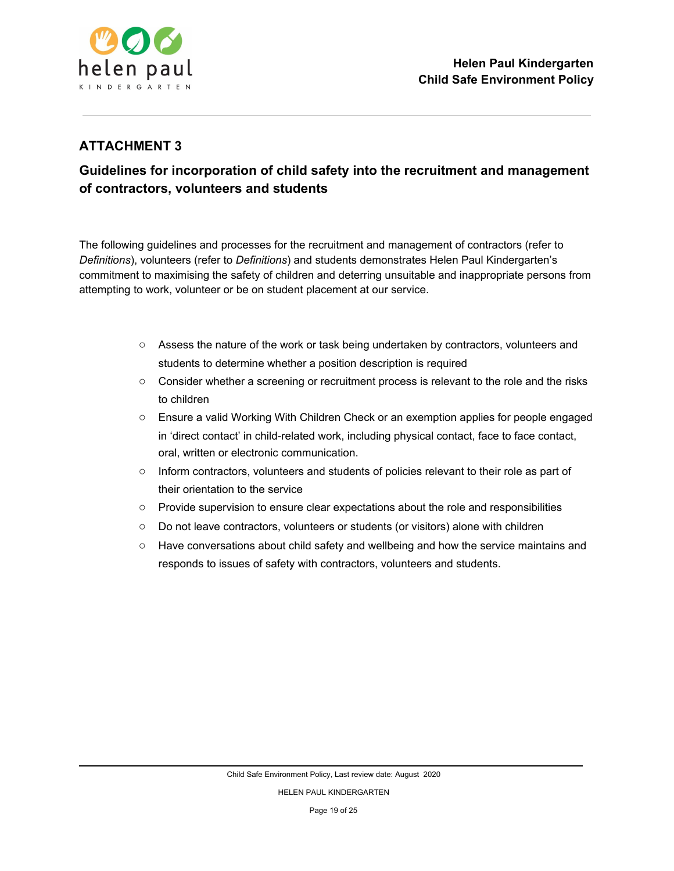

### **ATTACHMENT 3**

# **Guidelines for incorporation of child safety into the recruitment and management of contractors, volunteers and students**

The following guidelines and processes for the recruitment and management of contractors (refer to *Definitions*), volunteers (refer to *Definitions*) and students demonstrates Helen Paul Kindergarten's commitment to maximising the safety of children and deterring unsuitable and inappropriate persons from attempting to work, volunteer or be on student placement at our service.

- Assess the nature of the work or task being undertaken by contractors, volunteers and students to determine whether a position description is required
- Consider whether a screening or recruitment process is relevant to the role and the risks to children
- Ensure a valid Working With Children Check or an exemption applies for people engaged in 'direct contact' in child-related work, including physical contact, face to face contact, oral, written or electronic communication.
- Inform contractors, volunteers and students of policies relevant to their role as part of their orientation to the service
- Provide supervision to ensure clear expectations about the role and responsibilities
- Do not leave contractors, volunteers or students (or visitors) alone with children
- Have conversations about child safety and wellbeing and how the service maintains and responds to issues of safety with contractors, volunteers and students.

HELEN PAUL KINDERGARTEN

Page 19 of 25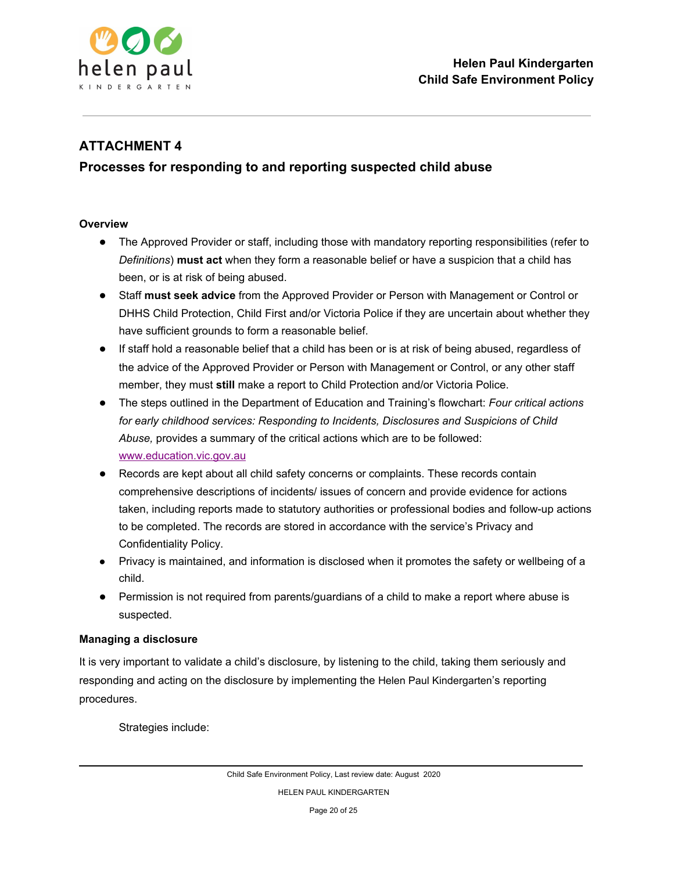

## **ATTACHMENT 4**

## **Processes for responding to and reporting suspected child abuse**

#### **Overview**

- The Approved Provider or staff, including those with mandatory reporting responsibilities (refer to *Definitions*) **must act** when they form a reasonable belief or have a suspicion that a child has been, or is at risk of being abused.
- Staff **must seek advice** from the Approved Provider or Person with Management or Control or DHHS Child Protection, Child First and/or Victoria Police if they are uncertain about whether they have sufficient grounds to form a reasonable belief.
- If staff hold a reasonable belief that a child has been or is at risk of being abused, regardless of the advice of the Approved Provider or Person with Management or Control, or any other staff member, they must **still** make a report to Child Protection and/or Victoria Police.
- The steps outlined in the Department of Education and Training's flowchart: *Four critical actions for early childhood services: Responding to Incidents, Disclosures and Suspicions of Child Abuse,* provides a summary of the critical actions which are to be followed[:](http://www.education.vic.gov.au/Pages/default.aspx) [www.education.vic.gov.au](http://www.education.vic.gov.au/Pages/default.aspx)
- Records are kept about all child safety concerns or complaints. These records contain comprehensive descriptions of incidents/ issues of concern and provide evidence for actions taken, including reports made to statutory authorities or professional bodies and follow-up actions to be completed. The records are stored in accordance with the service's Privacy and Confidentiality Policy.
- Privacy is maintained, and information is disclosed when it promotes the safety or wellbeing of a child.
- Permission is not required from parents/guardians of a child to make a report where abuse is suspected.

#### **Managing a disclosure**

It is very important to validate a child's disclosure, by listening to the child, taking them seriously and responding and acting on the disclosure by implementing the Helen Paul Kindergarten's reporting procedures.

Strategies include: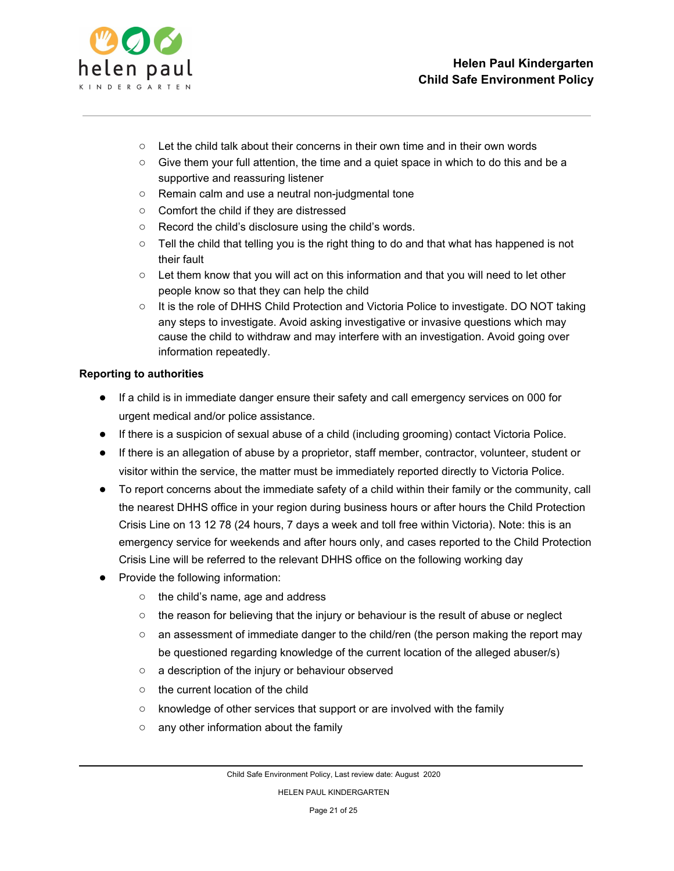

- $\circ$  Let the child talk about their concerns in their own time and in their own words
- Give them your full attention, the time and a quiet space in which to do this and be a supportive and reassuring listener
- Remain calm and use a neutral non-judgmental tone
- Comfort the child if they are distressed
- Record the child's disclosure using the child's words.
- $\circ$  Tell the child that telling you is the right thing to do and that what has happened is not their fault
- Let them know that you will act on this information and that you will need to let other people know so that they can help the child
- It is the role of DHHS Child Protection and Victoria Police to investigate. DO NOT taking any steps to investigate. Avoid asking investigative or invasive questions which may cause the child to withdraw and may interfere with an investigation. Avoid going over information repeatedly.

#### **Reporting to authorities**

- If a child is in immediate danger ensure their safety and call emergency services on 000 for urgent medical and/or police assistance.
- If there is a suspicion of sexual abuse of a child (including grooming) contact Victoria Police.
- If there is an allegation of abuse by a proprietor, staff member, contractor, volunteer, student or visitor within the service, the matter must be immediately reported directly to Victoria Police.
- To report concerns about the immediate safety of a child within their family or the community, call the nearest DHHS office in your region during business hours or after hours the Child Protection Crisis Line on 13 12 78 (24 hours, 7 days a week and toll free within Victoria). Note: this is an emergency service for weekends and after hours only, and cases reported to the Child Protection Crisis Line will be referred to the relevant DHHS office on the following working day
- Provide the following information:
	- the child's name, age and address
	- the reason for believing that the injury or behaviour is the result of abuse or neglect
	- an assessment of immediate danger to the child/ren (the person making the report may be questioned regarding knowledge of the current location of the alleged abuser/s)
	- a description of the injury or behaviour observed
	- the current location of the child
	- knowledge of other services that support or are involved with the family
	- any other information about the family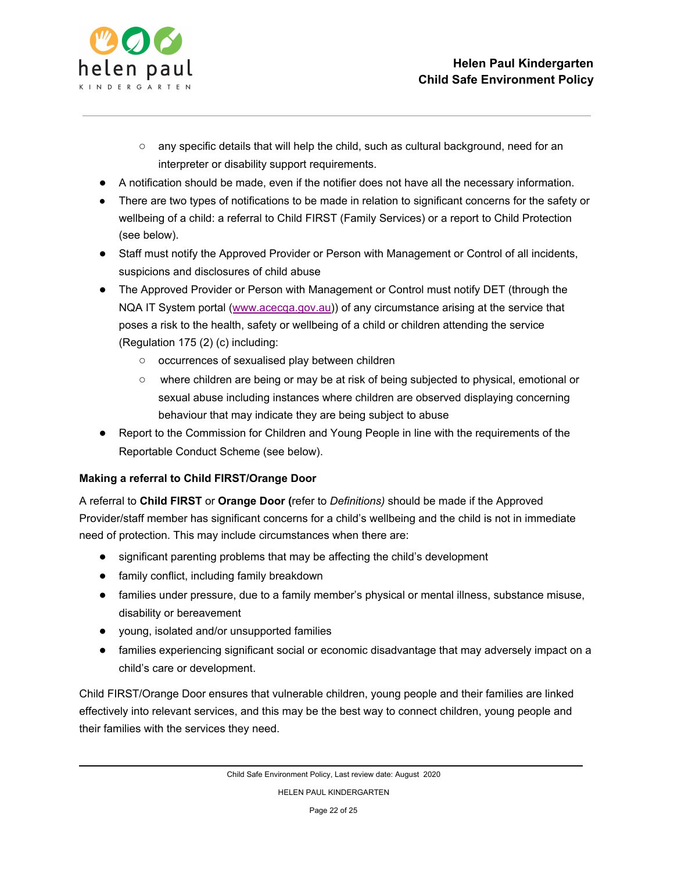

- $\circ$  any specific details that will help the child, such as cultural background, need for an interpreter or disability support requirements.
- A notification should be made, even if the notifier does not have all the necessary information.
- There are two types of notifications to be made in relation to significant concerns for the safety or wellbeing of a child: a referral to Child FIRST (Family Services) or a report to Child Protection (see below).
- Staff must notify the Approved Provider or Person with Management or Control of all incidents, suspicions and disclosures of child abuse
- The Approved Provider or Person with Management or Control must notify DET (through the NQA IT System portal ([www.acecqa.gov.au\)](http://www.acecqa.gov.au/)) of any circumstance arising at the service that poses a risk to the health, safety or wellbeing of a child or children attending the service (Regulation 175 (2) (c) including:
	- occurrences of sexualised play between children
	- where children are being or may be at risk of being subjected to physical, emotional or sexual abuse including instances where children are observed displaying concerning behaviour that may indicate they are being subject to abuse
- Report to the Commission for Children and Young People in line with the requirements of the Reportable Conduct Scheme (see below).

### **Making a referral to Child FIRST/Orange Door**

A referral to **Child FIRST** or **Orange Door (**refer to *Definitions)* should be made if the Approved Provider/staff member has significant concerns for a child's wellbeing and the child is not in immediate need of protection. This may include circumstances when there are:

- significant parenting problems that may be affecting the child's development
- family conflict, including family breakdown
- families under pressure, due to a family member's physical or mental illness, substance misuse, disability or bereavement
- young, isolated and/or unsupported families
- families experiencing significant social or economic disadvantage that may adversely impact on a child's care or development.

Child FIRST/Orange Door ensures that vulnerable children, young people and their families are linked effectively into relevant services, and this may be the best way to connect children, young people and their families with the services they need.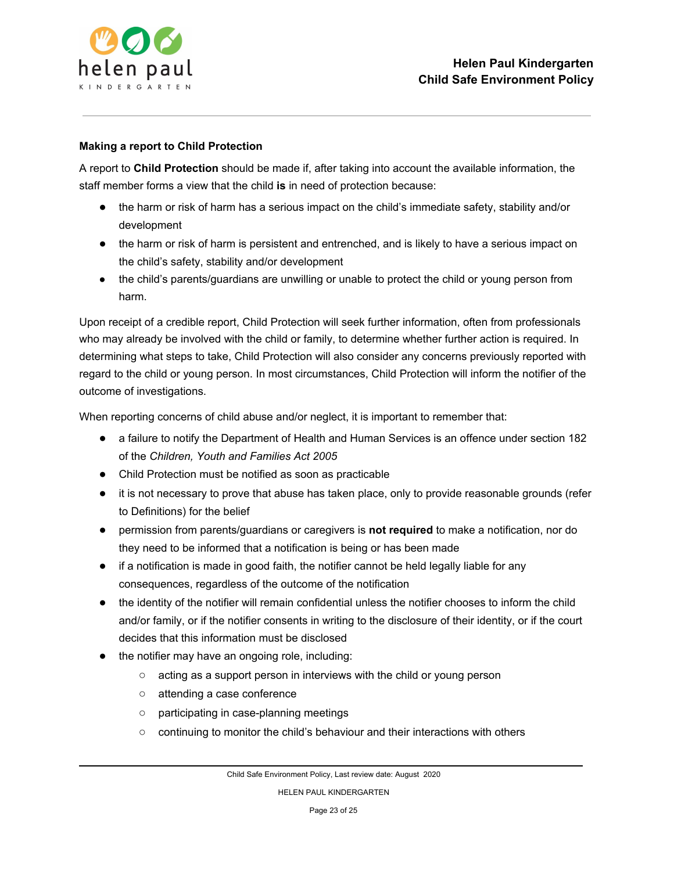

#### **Making a report to Child Protection**

A report to **Child Protection** should be made if, after taking into account the available information, the staff member forms a view that the child **is** in need of protection because:

- the harm or risk of harm has a serious impact on the child's immediate safety, stability and/or development
- the harm or risk of harm is persistent and entrenched, and is likely to have a serious impact on the child's safety, stability and/or development
- the child's parents/guardians are unwilling or unable to protect the child or young person from harm.

Upon receipt of a credible report, Child Protection will seek further information, often from professionals who may already be involved with the child or family, to determine whether further action is required. In determining what steps to take, Child Protection will also consider any concerns previously reported with regard to the child or young person. In most circumstances, Child Protection will inform the notifier of the outcome of investigations.

When reporting concerns of child abuse and/or neglect, it is important to remember that:

- a failure to notify the Department of Health and Human Services is an offence under section 182 of the *Children, Youth and Families Act 2005*
- Child Protection must be notified as soon as practicable
- it is not necessary to prove that abuse has taken place, only to provide reasonable grounds (refer to Definitions) for the belief
- permission from parents/guardians or caregivers is **not required** to make a notification, nor do they need to be informed that a notification is being or has been made
- if a notification is made in good faith, the notifier cannot be held legally liable for any consequences, regardless of the outcome of the notification
- the identity of the notifier will remain confidential unless the notifier chooses to inform the child and/or family, or if the notifier consents in writing to the disclosure of their identity, or if the court decides that this information must be disclosed
- the notifier may have an ongoing role, including:
	- acting as a support person in interviews with the child or young person
	- attending a case conference
	- participating in case-planning meetings
	- continuing to monitor the child's behaviour and their interactions with others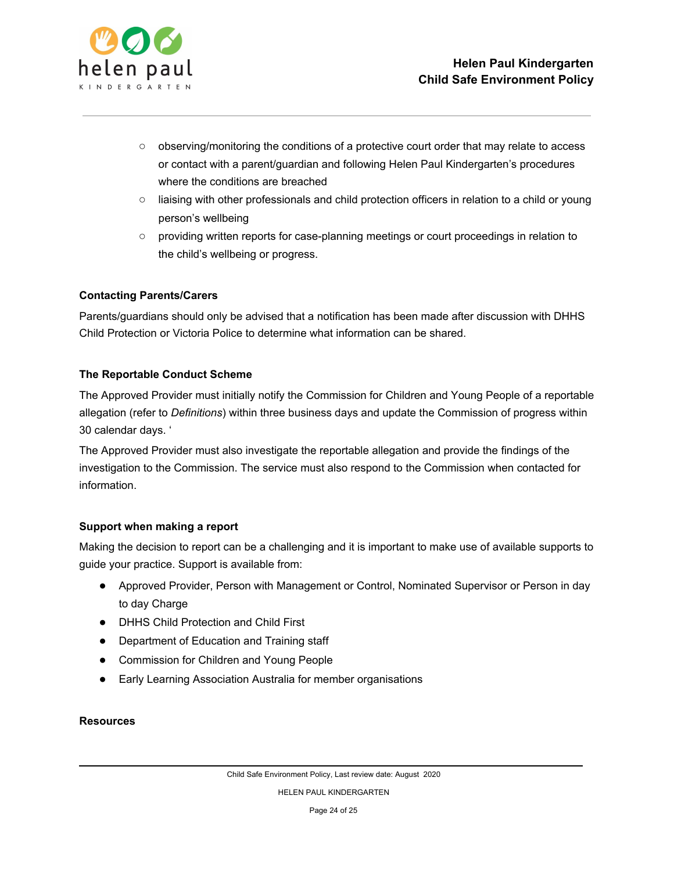

- observing/monitoring the conditions of a protective court order that may relate to access or contact with a parent/guardian and following Helen Paul Kindergarten's procedures where the conditions are breached
- liaising with other professionals and child protection officers in relation to a child or young person's wellbeing
- providing written reports for case-planning meetings or court proceedings in relation to the child's wellbeing or progress.

### **Contacting Parents/Carers**

Parents/guardians should only be advised that a notification has been made after discussion with DHHS Child Protection or Victoria Police to determine what information can be shared.

### **The Reportable Conduct Scheme**

The Approved Provider must initially notify the Commission for Children and Young People of a reportable allegation (refer to *Definitions*) within three business days and update the Commission of progress within 30 calendar days. '

The Approved Provider must also investigate the reportable allegation and provide the findings of the investigation to the Commission. The service must also respond to the Commission when contacted for information.

#### **Support when making a report**

Making the decision to report can be a challenging and it is important to make use of available supports to guide your practice. Support is available from:

- Approved Provider, Person with Management or Control, Nominated Supervisor or Person in day to day Charge
- **DHHS Child Protection and Child First**
- Department of Education and Training staff
- Commission for Children and Young People
- Early Learning Association Australia for member organisations

#### **Resources**